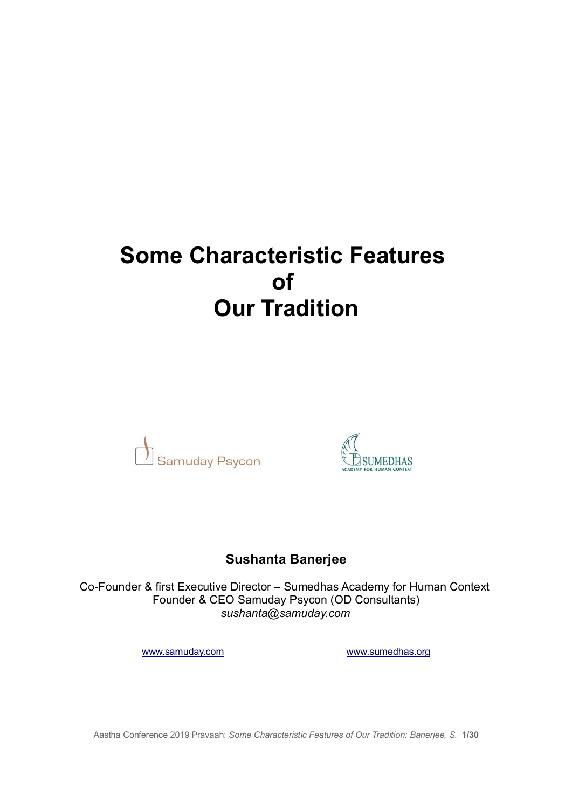# **Some Characteristic Features of Our Tradition**





# **Sushanta Banerjee**

Co-Founder & first Executive Director – Sumedhas Academy for Human Context Founder & CEO Samuday Psycon (OD Consultants) *sushanta@samuday.com*

www.samuday.com www.sumedhas.org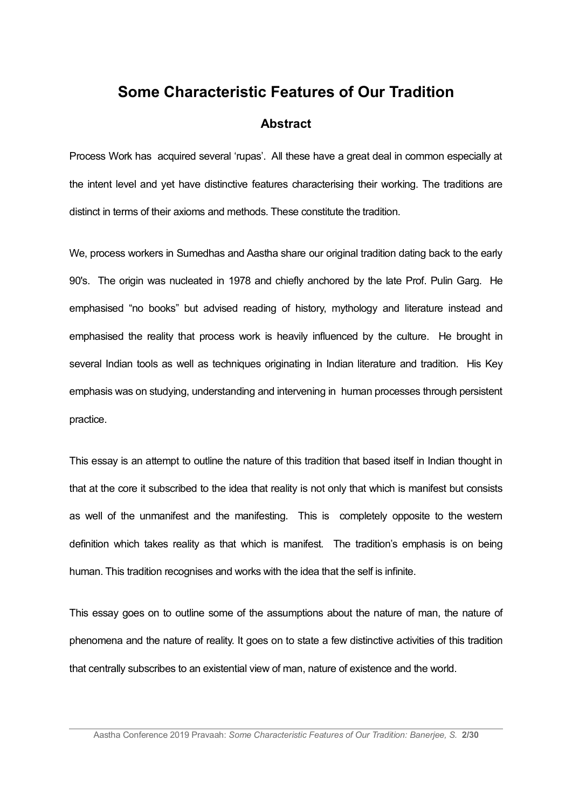## **Some Characteristic Features of Our Tradition**

#### **Abstract**

Process Work has acquired several 'rupas'. All these have a great deal in common especially at the intent level and yet have distinctive features characterising their working. The traditions are distinct in terms of their axioms and methods. These constitute the tradition.

We, process workers in Sumedhas and Aastha share our original tradition dating back to the early 90's. The origin was nucleated in 1978 and chiefly anchored by the late Prof. Pulin Garg. He emphasised "no books" but advised reading of history, mythology and literature instead and emphasised the reality that process work is heavily influenced by the culture. He brought in several Indian tools as well as techniques originating in Indian literature and tradition. His Key emphasis was on studying, understanding and intervening in human processes through persistent practice.

This essay is an attempt to outline the nature of this tradition that based itself in Indian thought in that at the core it subscribed to the idea that reality is not only that which is manifest but consists as well of the unmanifest and the manifesting. This is completely opposite to the western definition which takes reality as that which is manifest. The tradition's emphasis is on being human. This tradition recognises and works with the idea that the self is infinite.

This essay goes on to outline some of the assumptions about the nature of man, the nature of phenomena and the nature of reality. It goes on to state a few distinctive activities of this tradition that centrally subscribes to an existential view of man, nature of existence and the world.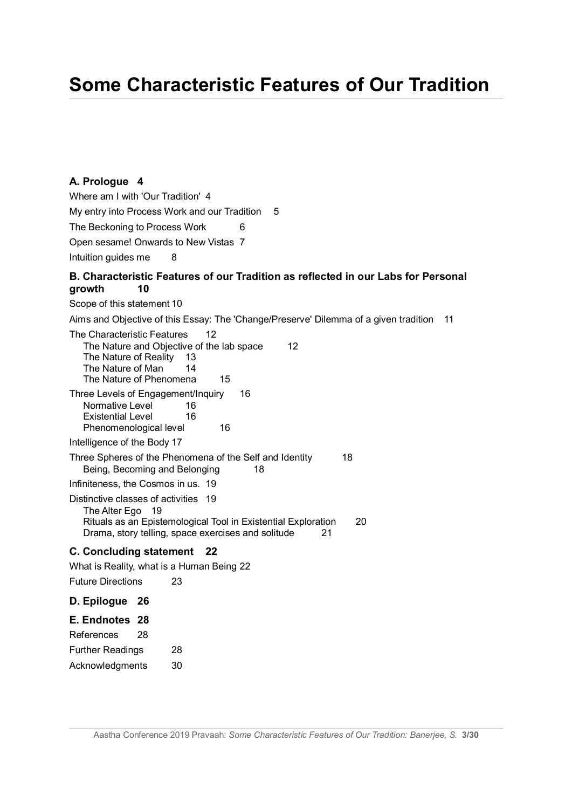# **Some Characteristic Features of Our Tradition**

#### **A. Prologue 4**

Where am I with 'Our Tradition' 4 My entry into Process Work and our Tradition 5 The Beckoning to Process Work 6 Open sesame! Onwards to New Vistas 7 Intuition guides me 8

#### **B. Characteristic Features of our Tradition as reflected in our Labs for Personal growth 10**

Scope of this statement 10

Aims and Objective of this Essay: The 'Change/Preserve' Dilemma of a given tradition 11

| The Characteristic Features<br>12<br>The Nature and Objective of the lab space<br>12<br>The Nature of Reality<br>- 13<br>The Nature of Man<br>14<br>The Nature of Phenomena<br>15           |                                                                     |
|---------------------------------------------------------------------------------------------------------------------------------------------------------------------------------------------|---------------------------------------------------------------------|
| Three Levels of Engagement/Inquiry<br>Normative Level<br><b>Existential Level</b><br>Phenomenological level                                                                                 | 16<br>16<br>16<br>16                                                |
| Intelligence of the Body 17                                                                                                                                                                 |                                                                     |
| Being, Becoming and Belonging                                                                                                                                                               | Three Spheres of the Phenomena of the Self and Identity<br>18<br>18 |
| Infiniteness, the Cosmos in us. 19                                                                                                                                                          |                                                                     |
| Distinctive classes of activities 19<br>The Alter Ego 19<br>Rituals as an Epistemological Tool in Existential Exploration<br>20<br>Drama, story telling, space exercises and solitude<br>21 |                                                                     |
| C. Concluding statement 22                                                                                                                                                                  |                                                                     |
| What is Reality, what is a Human Being 22                                                                                                                                                   |                                                                     |
| <b>Future Directions</b>                                                                                                                                                                    | 23                                                                  |
| D. Epilogue 26                                                                                                                                                                              |                                                                     |
| E. Endnotes 28                                                                                                                                                                              |                                                                     |
| References<br>28                                                                                                                                                                            |                                                                     |
| <b>Further Readings</b>                                                                                                                                                                     | 28                                                                  |
| Acknowledgments                                                                                                                                                                             | 30                                                                  |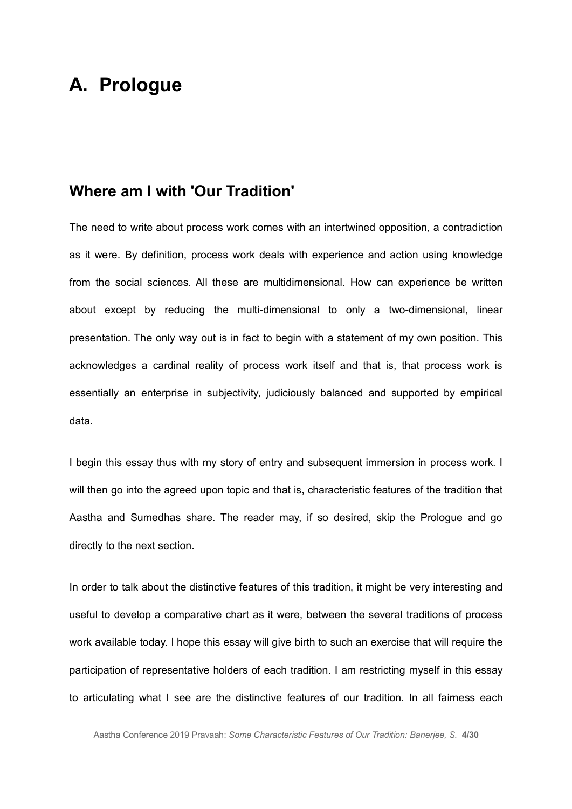# **Where am I with 'Our Tradition'**

The need to write about process work comes with an intertwined opposition, a contradiction as it were. By definition, process work deals with experience and action using knowledge from the social sciences. All these are multidimensional. How can experience be written about except by reducing the multi-dimensional to only a two-dimensional, linear presentation. The only way out is in fact to begin with a statement of my own position. This acknowledges a cardinal reality of process work itself and that is, that process work is essentially an enterprise in subjectivity, judiciously balanced and supported by empirical data.

I begin this essay thus with my story of entry and subsequent immersion in process work. I will then go into the agreed upon topic and that is, characteristic features of the tradition that Aastha and Sumedhas share. The reader may, if so desired, skip the Prologue and go directly to the next section.

In order to talk about the distinctive features of this tradition, it might be very interesting and useful to develop a comparative chart as it were, between the several traditions of process work available today. I hope this essay will give birth to such an exercise that will require the participation of representative holders of each tradition. I am restricting myself in this essay to articulating what I see are the distinctive features of our tradition. In all fairness each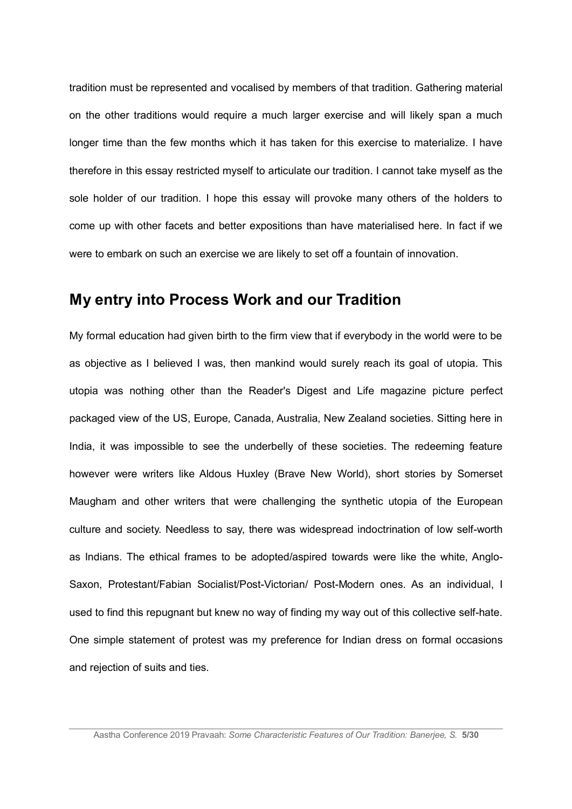tradition must be represented and vocalised by members of that tradition. Gathering material on the other traditions would require a much larger exercise and will likely span a much longer time than the few months which it has taken for this exercise to materialize. I have therefore in this essay restricted myself to articulate our tradition. I cannot take myself as the sole holder of our tradition. I hope this essay will provoke many others of the holders to come up with other facets and better expositions than have materialised here. In fact if we were to embark on such an exercise we are likely to set off a fountain of innovation.

### **My entry into Process Work and our Tradition**

My formal education had given birth to the firm view that if everybody in the world were to be as objective as I believed I was, then mankind would surely reach its goal of utopia. This utopia was nothing other than the Reader's Digest and Life magazine picture perfect packaged view of the US, Europe, Canada, Australia, New Zealand societies. Sitting here in India, it was impossible to see the underbelly of these societies. The redeeming feature however were writers like Aldous Huxley (Brave New World), short stories by Somerset Maugham and other writers that were challenging the synthetic utopia of the European culture and society. Needless to say, there was widespread indoctrination of low self-worth as Indians. The ethical frames to be adopted/aspired towards were like the white, Anglo-Saxon, Protestant/Fabian Socialist/Post-Victorian/ Post-Modern ones. As an individual, I used to find this repugnant but knew no way of finding my way out of this collective self-hate. One simple statement of protest was my preference for Indian dress on formal occasions and rejection of suits and ties.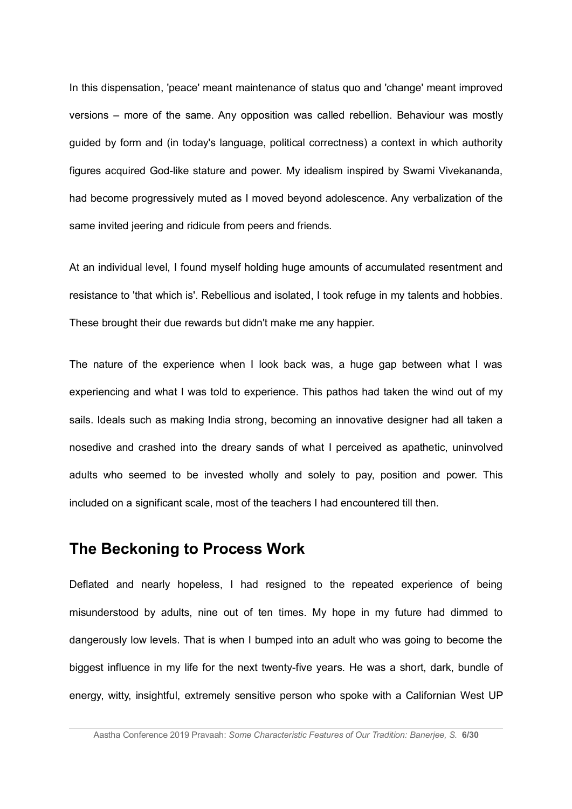In this dispensation, 'peace' meant maintenance of status quo and 'change' meant improved versions – more of the same. Any opposition was called rebellion. Behaviour was mostly guided by form and (in today's language, political correctness) a context in which authority figures acquired God-like stature and power. My idealism inspired by Swami Vivekananda, had become progressively muted as I moved beyond adolescence. Any verbalization of the same invited jeering and ridicule from peers and friends.

At an individual level, I found myself holding huge amounts of accumulated resentment and resistance to 'that which is'. Rebellious and isolated, I took refuge in my talents and hobbies. These brought their due rewards but didn't make me any happier.

The nature of the experience when I look back was, a huge gap between what I was experiencing and what I was told to experience. This pathos had taken the wind out of my sails. Ideals such as making India strong, becoming an innovative designer had all taken a nosedive and crashed into the dreary sands of what I perceived as apathetic, uninvolved adults who seemed to be invested wholly and solely to pay, position and power. This included on a significant scale, most of the teachers I had encountered till then.

## **The Beckoning to Process Work**

Deflated and nearly hopeless, I had resigned to the repeated experience of being misunderstood by adults, nine out of ten times. My hope in my future had dimmed to dangerously low levels. That is when I bumped into an adult who was going to become the biggest influence in my life for the next twenty-five years. He was a short, dark, bundle of energy, witty, insightful, extremely sensitive person who spoke with a Californian West UP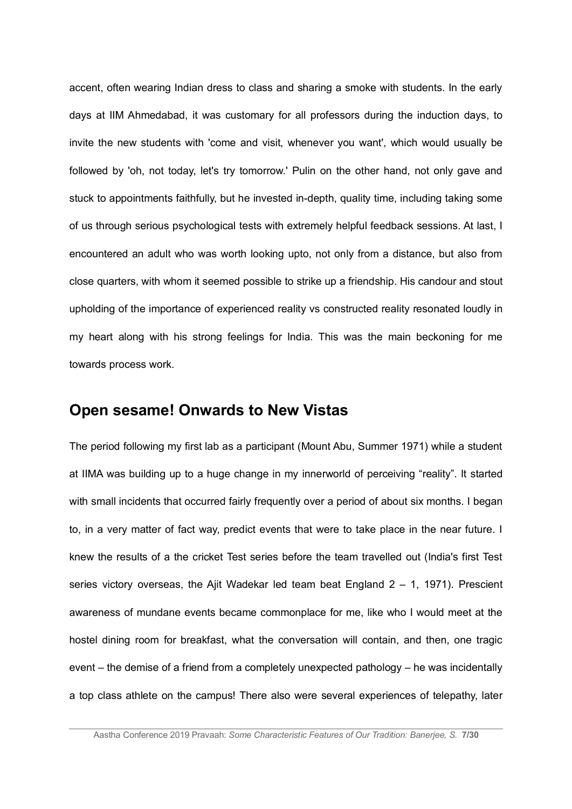accent, often wearing Indian dress to class and sharing a smoke with students. In the early days at IIM Ahmedabad, it was customary for all professors during the induction days, to invite the new students with 'come and visit, whenever you want', which would usually be followed by 'oh, not today, let's try tomorrow.' Pulin on the other hand, not only gave and stuck to appointments faithfully, but he invested in-depth, quality time, including taking some of us through serious psychological tests with extremely helpful feedback sessions. At last, I encountered an adult who was worth looking upto, not only from a distance, but also from close quarters, with whom it seemed possible to strike up a friendship. His candour and stout upholding of the importance of experienced reality vs constructed reality resonated loudly in my heart along with his strong feelings for India. This was the main beckoning for me towards process work.

## **Open sesame! Onwards to New Vistas**

The period following my first lab as a participant (Mount Abu, Summer 1971) while a student at IIMA was building up to a huge change in my innerworld of perceiving "reality". It started with small incidents that occurred fairly frequently over a period of about six months. I began to, in a very matter of fact way, predict events that were to take place in the near future. I knew the results of a the cricket Test series before the team travelled out (India's first Test series victory overseas, the Ajit Wadekar led team beat England  $2 - 1$ , 1971). Prescient awareness of mundane events became commonplace for me, like who I would meet at the hostel dining room for breakfast, what the conversation will contain, and then, one tragic event – the demise of a friend from a completely unexpected pathology – he was incidentally a top class athlete on the campus! There also were several experiences of telepathy, later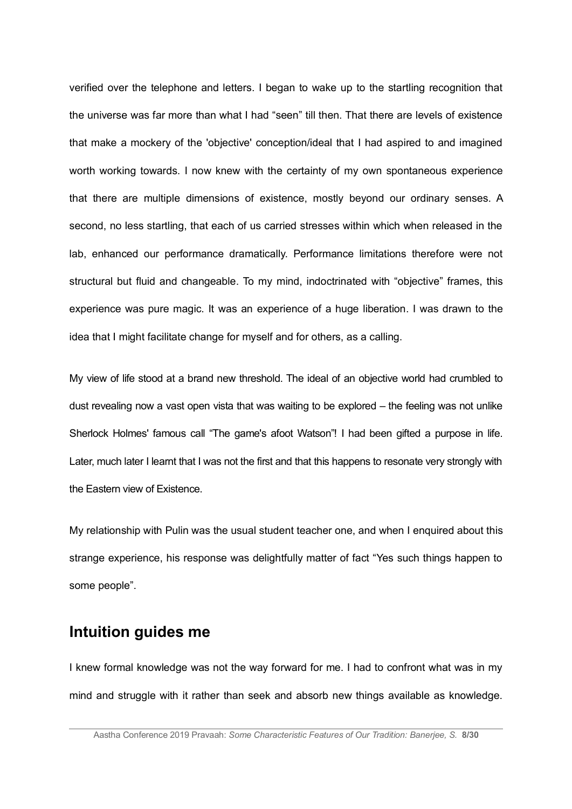verified over the telephone and letters. I began to wake up to the startling recognition that the universe was far more than what I had "seen" till then. That there are levels of existence that make a mockery of the 'objective' conception/ideal that I had aspired to and imagined worth working towards. I now knew with the certainty of my own spontaneous experience that there are multiple dimensions of existence, mostly beyond our ordinary senses. A second, no less startling, that each of us carried stresses within which when released in the lab, enhanced our performance dramatically. Performance limitations therefore were not structural but fluid and changeable. To my mind, indoctrinated with "objective" frames, this experience was pure magic. It was an experience of a huge liberation. I was drawn to the idea that I might facilitate change for myself and for others, as a calling.

My view of life stood at a brand new threshold. The ideal of an objective world had crumbled to dust revealing now a vast open vista that was waiting to be explored – the feeling was not unlike Sherlock Holmes' famous call "The game's afoot Watson"! I had been gifted a purpose in life. Later, much later I learnt that I was not the first and that this happens to resonate very strongly with the Eastern view of Existence.

My relationship with Pulin was the usual student teacher one, and when I enquired about this strange experience, his response was delightfully matter of fact "Yes such things happen to some people".

# **Intuition guides me**

I knew formal knowledge was not the way forward for me. I had to confront what was in my mind and struggle with it rather than seek and absorb new things available as knowledge.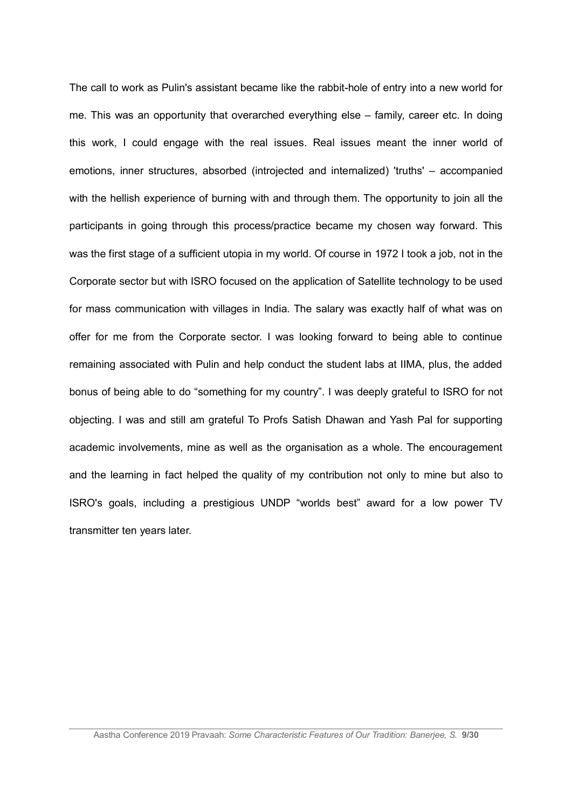The call to work as Pulin's assistant became like the rabbit-hole of entry into a new world for me. This was an opportunity that overarched everything else – family, career etc. In doing this work, I could engage with the real issues. Real issues meant the inner world of emotions, inner structures, absorbed (introjected and internalized) 'truths' – accompanied with the hellish experience of burning with and through them. The opportunity to join all the participants in going through this process/practice became my chosen way forward. This was the first stage of a sufficient utopia in my world. Of course in 1972 I took a job, not in the Corporate sector but with ISRO focused on the application of Satellite technology to be used for mass communication with villages in India. The salary was exactly half of what was on offer for me from the Corporate sector. I was looking forward to being able to continue remaining associated with Pulin and help conduct the student labs at IIMA, plus, the added bonus of being able to do "something for my country". I was deeply grateful to ISRO for not objecting. I was and still am grateful To Profs Satish Dhawan and Yash Pal for supporting academic involvements, mine as well as the organisation as a whole. The encouragement and the learning in fact helped the quality of my contribution not only to mine but also to ISRO's goals, including a prestigious UNDP "worlds best" award for a low power TV transmitter ten years later.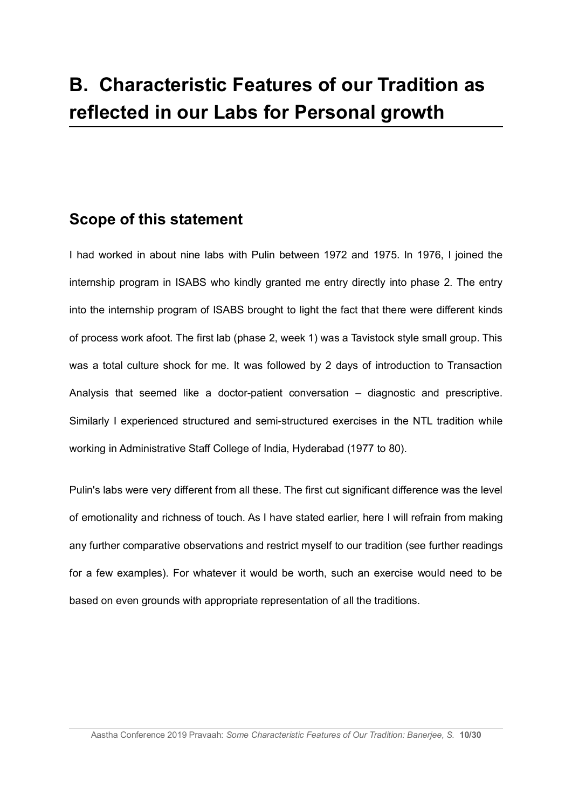# **B. Characteristic Features of our Tradition as reflected in our Labs for Personal growth**

# **Scope of this statement**

I had worked in about nine labs with Pulin between 1972 and 1975. In 1976, I joined the internship program in ISABS who kindly granted me entry directly into phase 2. The entry into the internship program of ISABS brought to light the fact that there were different kinds of process work afoot. The first lab (phase 2, week 1) was a Tavistock style small group. This was a total culture shock for me. It was followed by 2 days of introduction to Transaction Analysis that seemed like a doctor-patient conversation – diagnostic and prescriptive. Similarly I experienced structured and semi-structured exercises in the NTL tradition while working in Administrative Staff College of India, Hyderabad (1977 to 80).

Pulin's labs were very different from all these. The first cut significant difference was the level of emotionality and richness of touch. As I have stated earlier, here I will refrain from making any further comparative observations and restrict myself to our tradition (see further readings for a few examples). For whatever it would be worth, such an exercise would need to be based on even grounds with appropriate representation of all the traditions.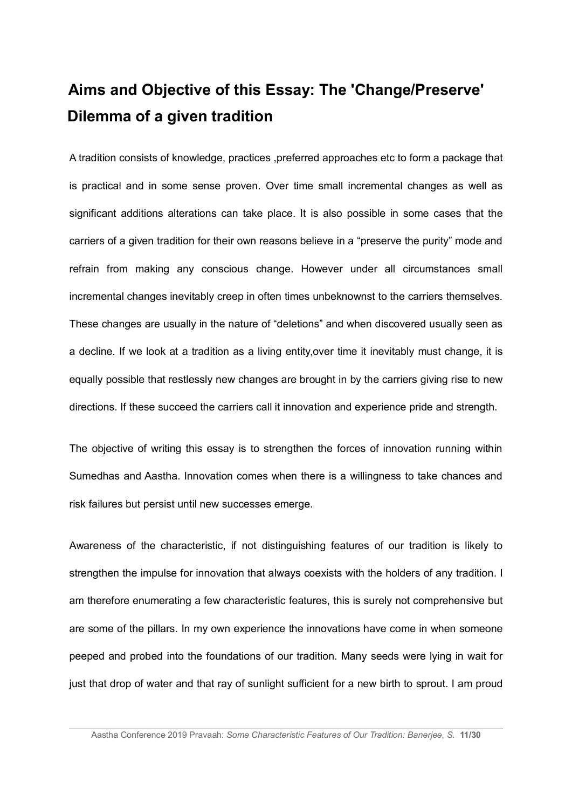# **Aims and Objective of this Essay: The 'Change/Preserve' Dilemma of a given tradition**

A tradition consists of knowledge, practices ,preferred approaches etc to form a package that is practical and in some sense proven. Over time small incremental changes as well as significant additions alterations can take place. It is also possible in some cases that the carriers of a given tradition for their own reasons believe in a "preserve the purity" mode and refrain from making any conscious change. However under all circumstances small incremental changes inevitably creep in often times unbeknownst to the carriers themselves. These changes are usually in the nature of "deletions" and when discovered usually seen as a decline. If we look at a tradition as a living entity,over time it inevitably must change, it is equally possible that restlessly new changes are brought in by the carriers giving rise to new directions. If these succeed the carriers call it innovation and experience pride and strength.

The objective of writing this essay is to strengthen the forces of innovation running within Sumedhas and Aastha. Innovation comes when there is a willingness to take chances and risk failures but persist until new successes emerge.

Awareness of the characteristic, if not distinguishing features of our tradition is likely to strengthen the impulse for innovation that always coexists with the holders of any tradition. I am therefore enumerating a few characteristic features, this is surely not comprehensive but are some of the pillars. In my own experience the innovations have come in when someone peeped and probed into the foundations of our tradition. Many seeds were lying in wait for just that drop of water and that ray of sunlight sufficient for a new birth to sprout. I am proud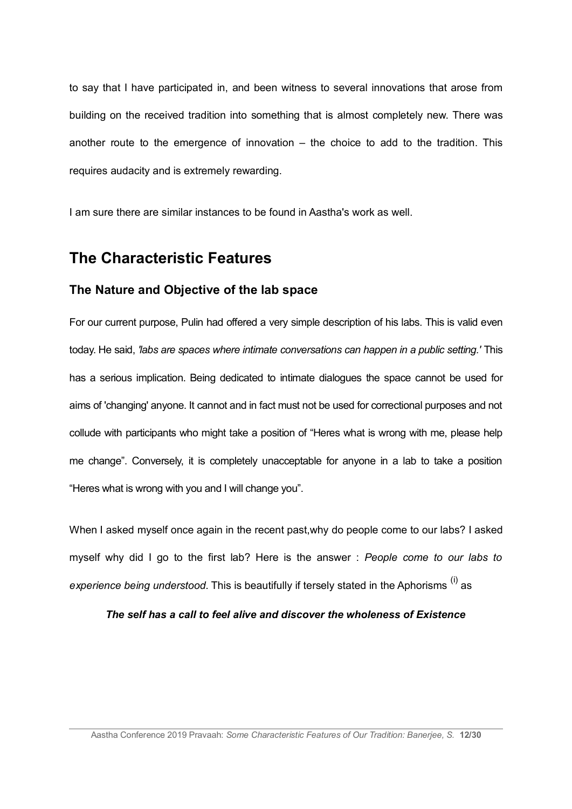to say that I have participated in, and been witness to several innovations that arose from building on the received tradition into something that is almost completely new. There was another route to the emergence of innovation – the choice to add to the tradition. This requires audacity and is extremely rewarding.

I am sure there are similar instances to be found in Aastha's work as well.

## **The Characteristic Features**

#### **The Nature and Objective of the lab space**

For our current purpose, Pulin had offered a very simple description of his labs. This is valid even today. He said, *'labs are spaces where intimate conversations can happen in a public setting.'* This has a serious implication. Being dedicated to intimate dialogues the space cannot be used for aims of 'changing' anyone. It cannot and in fact must not be used for correctional purposes and not collude with participants who might take a position of "Heres what is wrong with me, please help me change". Conversely, it is completely unacceptable for anyone in a lab to take a position "Heres what is wrong with you and I will change you".

When I asked myself once again in the recent past,why do people come to our labs? I asked myself why did I go to the first lab? Here is the answer : *People come to our labs to experience being understood*. This is beautifully if tersely stated in the Aphorisms (i) as

*The self has a call to feel alive and discover the wholeness of Existence*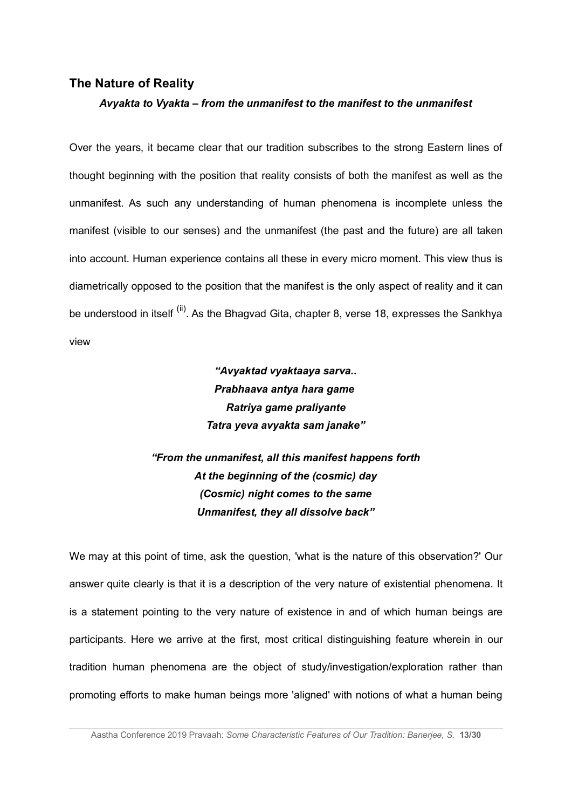#### **The Nature of Reality**

#### *Avyakta to Vyakta – from the unmanifest to the manifest to the unmanifest*

Over the years, it became clear that our tradition subscribes to the strong Eastern lines of thought beginning with the position that reality consists of both the manifest as well as the unmanifest. As such any understanding of human phenomena is incomplete unless the manifest (visible to our senses) and the unmanifest (the past and the future) are all taken into account. Human experience contains all these in every micro moment. This view thus is diametrically opposed to the position that the manifest is the only aspect of reality and it can be understood in itself <sup>(ii)</sup>. As the Bhagvad Gita, chapter 8, verse 18, expresses the Sankhya view

> *"Avyaktad vyaktaaya sarva.. Prabhaava antya hara game Ratriya game praliyante Tatra yeva avyakta sam janake"*

*"From the unmanifest, all this manifest happens forth At the beginning of the (cosmic) day (Cosmic) night comes to the same Unmanifest, they all dissolve back"*

We may at this point of time, ask the question, 'what is the nature of this observation?' Our answer quite clearly is that it is a description of the very nature of existential phenomena. It is a statement pointing to the very nature of existence in and of which human beings are participants. Here we arrive at the first, most critical distinguishing feature wherein in our tradition human phenomena are the object of study/investigation/exploration rather than promoting efforts to make human beings more 'aligned' with notions of what a human being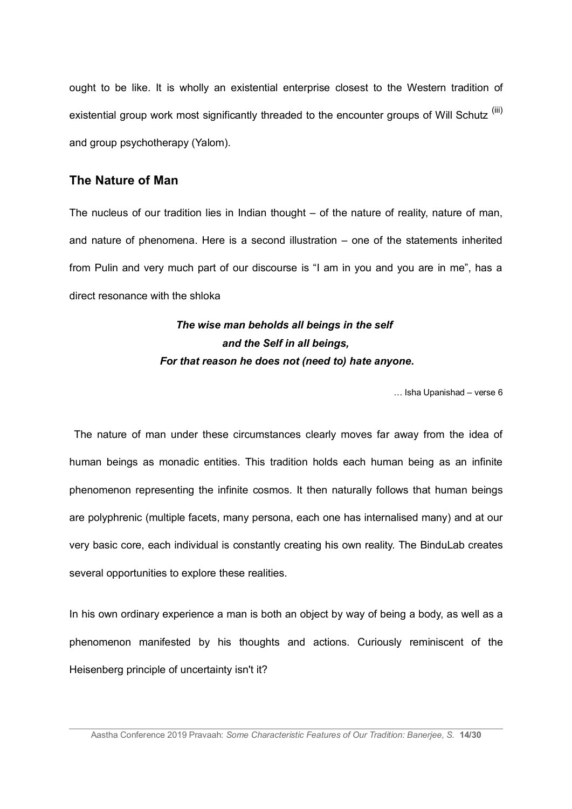ought to be like. It is wholly an existential enterprise closest to the Western tradition of existential group work most significantly threaded to the encounter groups of Will Schutz<sup>(iii)</sup> and group psychotherapy (Yalom).

#### **The Nature of Man**

The nucleus of our tradition lies in Indian thought – of the nature of reality, nature of man, and nature of phenomena. Here is a second illustration – one of the statements inherited from Pulin and very much part of our discourse is "I am in you and you are in me", has a direct resonance with the shloka

# *The wise man beholds all beings in the self and the Self in all beings, For that reason he does not (need to) hate anyone.*

… Isha Upanishad – verse 6

 The nature of man under these circumstances clearly moves far away from the idea of human beings as monadic entities. This tradition holds each human being as an infinite phenomenon representing the infinite cosmos. It then naturally follows that human beings are polyphrenic (multiple facets, many persona, each one has internalised many) and at our very basic core, each individual is constantly creating his own reality. The BinduLab creates several opportunities to explore these realities.

In his own ordinary experience a man is both an object by way of being a body, as well as a phenomenon manifested by his thoughts and actions. Curiously reminiscent of the Heisenberg principle of uncertainty isn't it?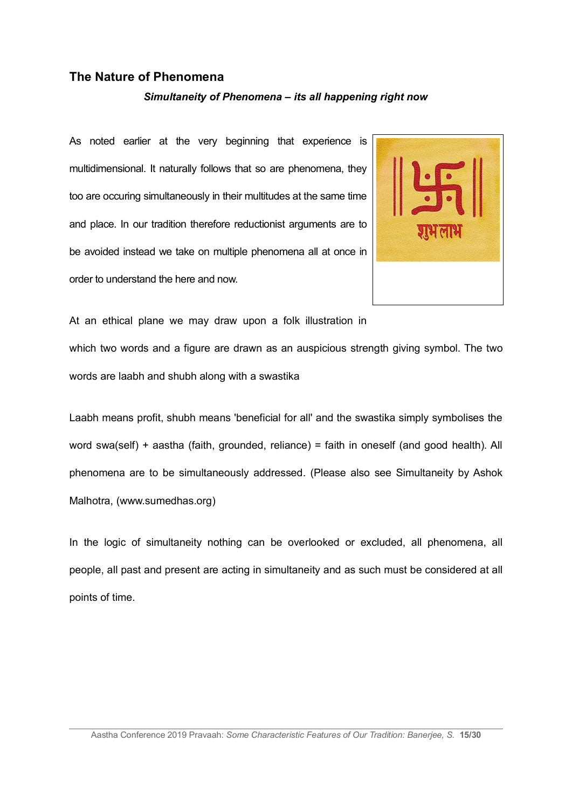#### **The Nature of Phenomena**

#### *Simultaneity of Phenomena – its all happening right now*

As noted earlier at the very beginning that experience is multidimensional. It naturally follows that so are phenomena, they too are occuring simultaneously in their multitudes at the same time and place. In our tradition therefore reductionist arguments are to be avoided instead we take on multiple phenomena all at once in order to understand the here and now.



At an ethical plane we may draw upon a folk illustration in which two words and a figure are drawn as an auspicious strength giving symbol. The two words are laabh and shubh along with a swastika

Laabh means profit, shubh means 'beneficial for all' and the swastika simply symbolises the word swa(self) + aastha (faith, grounded, reliance) = faith in oneself (and good health). All phenomena are to be simultaneously addressed. (Please also see Simultaneity by Ashok Malhotra, (www.sumedhas.org)

In the logic of simultaneity nothing can be overlooked or excluded, all phenomena, all people, all past and present are acting in simultaneity and as such must be considered at all points of time.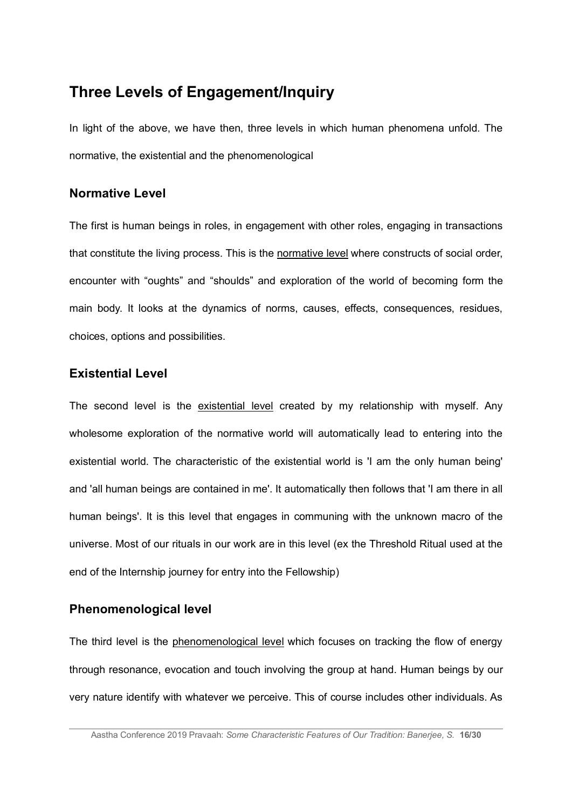# **Three Levels of Engagement/Inquiry**

In light of the above, we have then, three levels in which human phenomena unfold. The normative, the existential and the phenomenological

### **Normative Level**

The first is human beings in roles, in engagement with other roles, engaging in transactions that constitute the living process. This is the normative level where constructs of social order, encounter with "oughts" and "shoulds" and exploration of the world of becoming form the main body. It looks at the dynamics of norms, causes, effects, consequences, residues, choices, options and possibilities.

### **Existential Level**

The second level is the existential level created by my relationship with myself. Any wholesome exploration of the normative world will automatically lead to entering into the existential world. The characteristic of the existential world is 'I am the only human being' and 'all human beings are contained in me'. It automatically then follows that 'I am there in all human beings'. It is this level that engages in communing with the unknown macro of the universe. Most of our rituals in our work are in this level (ex the Threshold Ritual used at the end of the Internship journey for entry into the Fellowship)

### **Phenomenological level**

The third level is the phenomenological level which focuses on tracking the flow of energy through resonance, evocation and touch involving the group at hand. Human beings by our very nature identify with whatever we perceive. This of course includes other individuals. As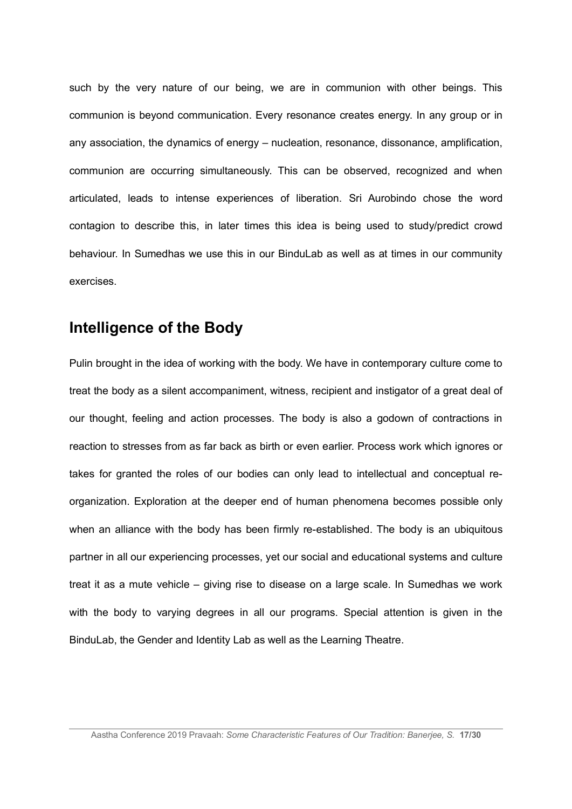such by the very nature of our being, we are in communion with other beings. This communion is beyond communication. Every resonance creates energy. In any group or in any association, the dynamics of energy – nucleation, resonance, dissonance, amplification, communion are occurring simultaneously. This can be observed, recognized and when articulated, leads to intense experiences of liberation. Sri Aurobindo chose the word contagion to describe this, in later times this idea is being used to study/predict crowd behaviour. In Sumedhas we use this in our BinduLab as well as at times in our community exercises.

## **Intelligence of the Body**

Pulin brought in the idea of working with the body. We have in contemporary culture come to treat the body as a silent accompaniment, witness, recipient and instigator of a great deal of our thought, feeling and action processes. The body is also a godown of contractions in reaction to stresses from as far back as birth or even earlier. Process work which ignores or takes for granted the roles of our bodies can only lead to intellectual and conceptual reorganization. Exploration at the deeper end of human phenomena becomes possible only when an alliance with the body has been firmly re-established. The body is an ubiquitous partner in all our experiencing processes, yet our social and educational systems and culture treat it as a mute vehicle – giving rise to disease on a large scale. In Sumedhas we work with the body to varying degrees in all our programs. Special attention is given in the BinduLab, the Gender and Identity Lab as well as the Learning Theatre.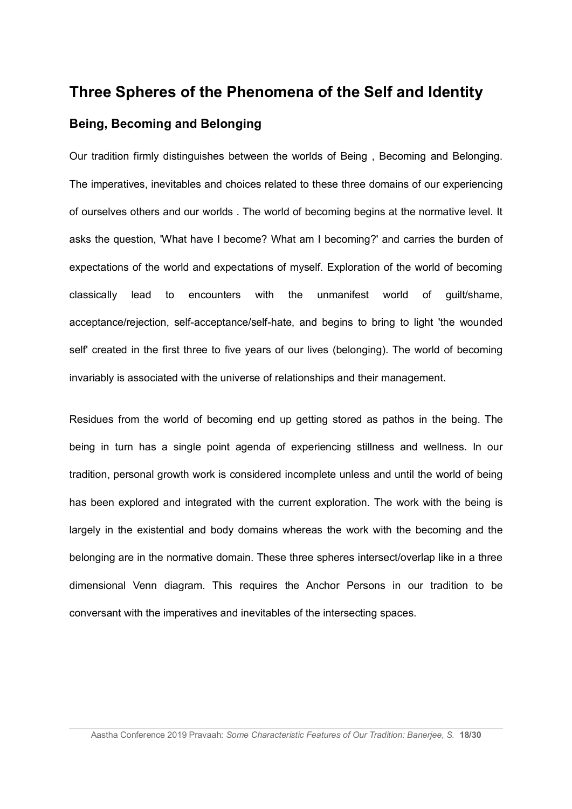# **Three Spheres of the Phenomena of the Self and Identity Being, Becoming and Belonging**

Our tradition firmly distinguishes between the worlds of Being , Becoming and Belonging. The imperatives, inevitables and choices related to these three domains of our experiencing of ourselves others and our worlds . The world of becoming begins at the normative level. It asks the question, 'What have I become? What am I becoming?' and carries the burden of expectations of the world and expectations of myself. Exploration of the world of becoming classically lead to encounters with the unmanifest world of guilt/shame, acceptance/rejection, self-acceptance/self-hate, and begins to bring to light 'the wounded self' created in the first three to five years of our lives (belonging). The world of becoming invariably is associated with the universe of relationships and their management.

Residues from the world of becoming end up getting stored as pathos in the being. The being in turn has a single point agenda of experiencing stillness and wellness. In our tradition, personal growth work is considered incomplete unless and until the world of being has been explored and integrated with the current exploration. The work with the being is largely in the existential and body domains whereas the work with the becoming and the belonging are in the normative domain. These three spheres intersect/overlap like in a three dimensional Venn diagram. This requires the Anchor Persons in our tradition to be conversant with the imperatives and inevitables of the intersecting spaces.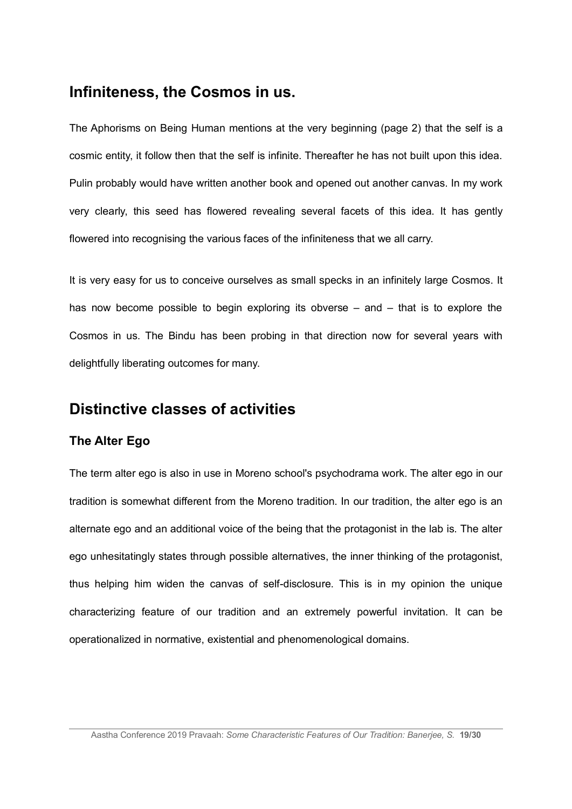## **Infiniteness, the Cosmos in us.**

The Aphorisms on Being Human mentions at the very beginning (page 2) that the self is a cosmic entity, it follow then that the self is infinite. Thereafter he has not built upon this idea. Pulin probably would have written another book and opened out another canvas. In my work very clearly, this seed has flowered revealing several facets of this idea. It has gently flowered into recognising the various faces of the infiniteness that we all carry.

It is very easy for us to conceive ourselves as small specks in an infinitely large Cosmos. It has now become possible to begin exploring its obverse – and – that is to explore the Cosmos in us. The Bindu has been probing in that direction now for several years with delightfully liberating outcomes for many.

# **Distinctive classes of activities**

### **The Alter Ego**

The term alter ego is also in use in Moreno school's psychodrama work. The alter ego in our tradition is somewhat different from the Moreno tradition. In our tradition, the alter ego is an alternate ego and an additional voice of the being that the protagonist in the lab is. The alter ego unhesitatingly states through possible alternatives, the inner thinking of the protagonist, thus helping him widen the canvas of self-disclosure. This is in my opinion the unique characterizing feature of our tradition and an extremely powerful invitation. It can be operationalized in normative, existential and phenomenological domains.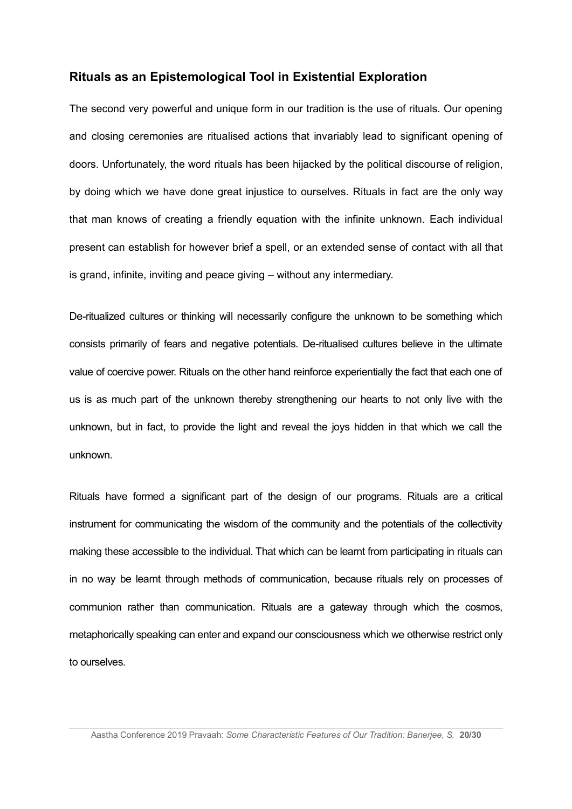#### **Rituals as an Epistemological Tool in Existential Exploration**

The second very powerful and unique form in our tradition is the use of rituals. Our opening and closing ceremonies are ritualised actions that invariably lead to significant opening of doors. Unfortunately, the word rituals has been hijacked by the political discourse of religion, by doing which we have done great injustice to ourselves. Rituals in fact are the only way that man knows of creating a friendly equation with the infinite unknown. Each individual present can establish for however brief a spell, or an extended sense of contact with all that is grand, infinite, inviting and peace giving – without any intermediary.

De-ritualized cultures or thinking will necessarily configure the unknown to be something which consists primarily of fears and negative potentials. De-ritualised cultures believe in the ultimate value of coercive power. Rituals on the other hand reinforce experientially the fact that each one of us is as much part of the unknown thereby strengthening our hearts to not only live with the unknown, but in fact, to provide the light and reveal the joys hidden in that which we call the unknown.

Rituals have formed a significant part of the design of our programs. Rituals are a critical instrument for communicating the wisdom of the community and the potentials of the collectivity making these accessible to the individual. That which can be learnt from participating in rituals can in no way be learnt through methods of communication, because rituals rely on processes of communion rather than communication. Rituals are a gateway through which the cosmos, metaphorically speaking can enter and expand our consciousness which we otherwise restrict only to ourselves.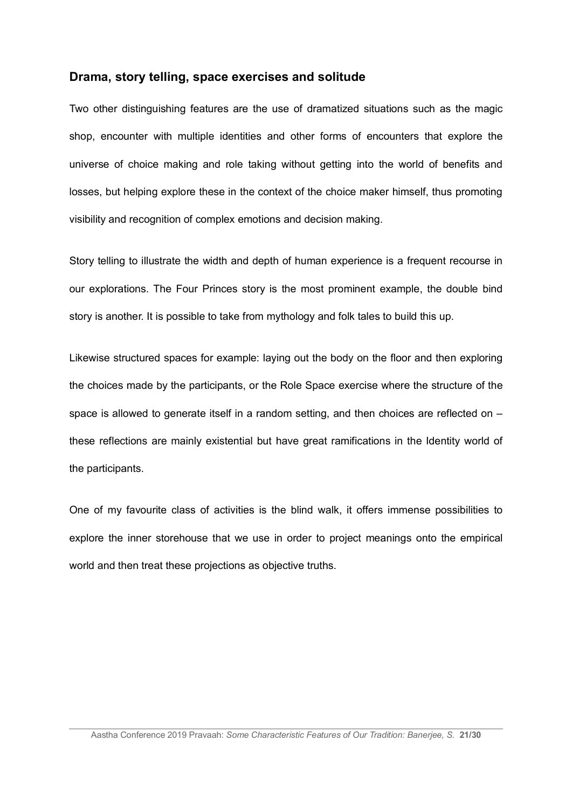#### **Drama, story telling, space exercises and solitude**

Two other distinguishing features are the use of dramatized situations such as the magic shop, encounter with multiple identities and other forms of encounters that explore the universe of choice making and role taking without getting into the world of benefits and losses, but helping explore these in the context of the choice maker himself, thus promoting visibility and recognition of complex emotions and decision making.

Story telling to illustrate the width and depth of human experience is a frequent recourse in our explorations. The Four Princes story is the most prominent example, the double bind story is another. It is possible to take from mythology and folk tales to build this up.

Likewise structured spaces for example: laying out the body on the floor and then exploring the choices made by the participants, or the Role Space exercise where the structure of the space is allowed to generate itself in a random setting, and then choices are reflected on – these reflections are mainly existential but have great ramifications in the Identity world of the participants.

One of my favourite class of activities is the blind walk, it offers immense possibilities to explore the inner storehouse that we use in order to project meanings onto the empirical world and then treat these projections as objective truths.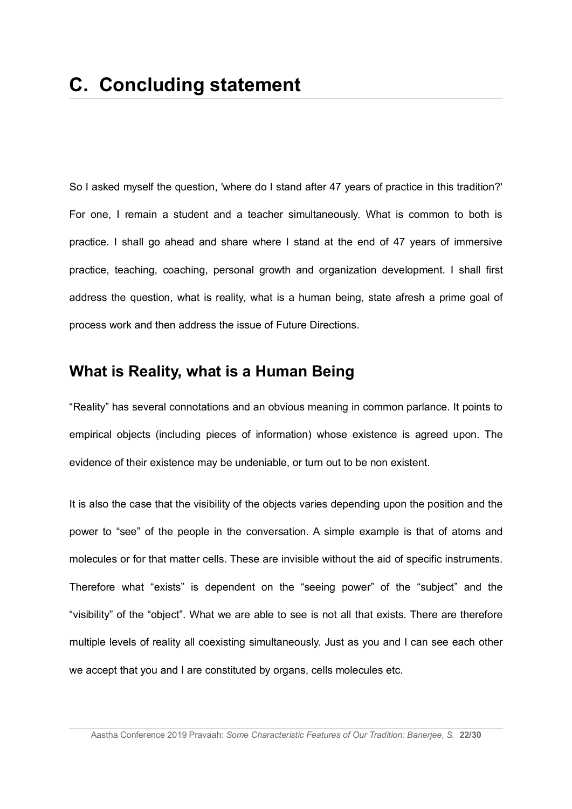So I asked myself the question, 'where do I stand after 47 years of practice in this tradition?' For one, I remain a student and a teacher simultaneously. What is common to both is practice. I shall go ahead and share where I stand at the end of 47 years of immersive practice, teaching, coaching, personal growth and organization development. I shall first address the question, what is reality, what is a human being, state afresh a prime goal of process work and then address the issue of Future Directions.

## **What is Reality, what is a Human Being**

"Reality" has several connotations and an obvious meaning in common parlance. It points to empirical objects (including pieces of information) whose existence is agreed upon. The evidence of their existence may be undeniable, or turn out to be non existent.

It is also the case that the visibility of the objects varies depending upon the position and the power to "see" of the people in the conversation. A simple example is that of atoms and molecules or for that matter cells. These are invisible without the aid of specific instruments. Therefore what "exists" is dependent on the "seeing power" of the "subject" and the "visibility" of the "object". What we are able to see is not all that exists*.* There are therefore multiple levels of reality all coexisting simultaneously. Just as you and I can see each other we accept that you and I are constituted by organs, cells molecules etc.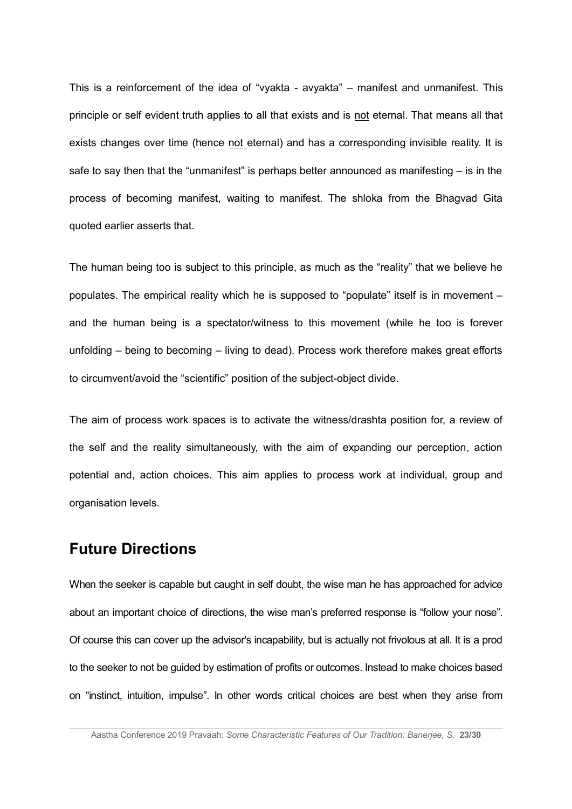This is a reinforcement of the idea of "vyakta - avyakta" – manifest and unmanifest. This principle or self evident truth applies to all that exists and is not eternal. That means all that exists changes over time (hence not eternal) and has a corresponding invisible reality. It is safe to say then that the "unmanifest" is perhaps better announced as manifesting – is in the process of becoming manifest, waiting to manifest. The shloka from the Bhagvad Gita quoted earlier asserts that.

The human being too is subject to this principle, as much as the "reality" that we believe he populates. The empirical reality which he is supposed to "populate" itself is in movement – and the human being is a spectator/witness to this movement (while he too is forever unfolding – being to becoming – living to dead). Process work therefore makes great efforts to circumvent/avoid the "scientific" position of the subject-object divide.

The aim of process work spaces is to activate the witness/drashta position for, a review of the self and the reality simultaneously, with the aim of expanding our perception, action potential and, action choices. This aim applies to process work at individual, group and organisation levels.

## **Future Directions**

When the seeker is capable but caught in self doubt, the wise man he has approached for advice about an important choice of directions, the wise man's preferred response is "follow your nose". Of course this can cover up the advisor's incapability, but is actually not frivolous at all. It is a prod to the seeker to not be guided by estimation of profits or outcomes. Instead to make choices based on "instinct, intuition, impulse". In other words critical choices are best when they arise from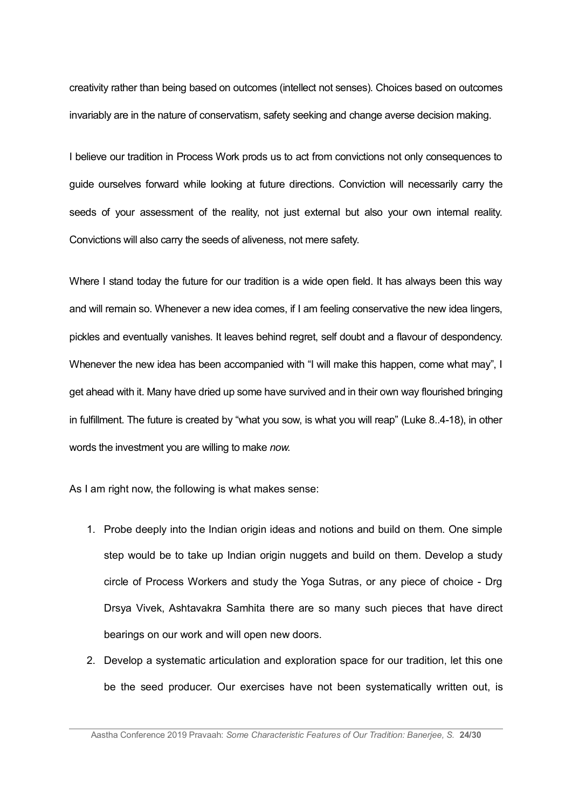creativity rather than being based on outcomes (intellect not senses). Choices based on outcomes invariably are in the nature of conservatism, safety seeking and change averse decision making.

I believe our tradition in Process Work prods us to act from convictions not only consequences to guide ourselves forward while looking at future directions. Conviction will necessarily carry the seeds of your assessment of the reality, not just external but also your own internal reality. Convictions will also carry the seeds of aliveness, not mere safety.

Where I stand today the future for our tradition is a wide open field. It has always been this way and will remain so. Whenever a new idea comes, if I am feeling conservative the new idea lingers, pickles and eventually vanishes. It leaves behind regret, self doubt and a flavour of despondency. Whenever the new idea has been accompanied with "I will make this happen, come what may", I get ahead with it. Many have dried up some have survived and in their own way flourished bringing in fulfillment. The future is created by "what you sow, is what you will reap" (Luke 8..4-18), in other words the investment you are willing to make *now.*

As I am right now, the following is what makes sense:

- 1. Probe deeply into the Indian origin ideas and notions and build on them. One simple step would be to take up Indian origin nuggets and build on them. Develop a study circle of Process Workers and study the Yoga Sutras, or any piece of choice - Drg Drsya Vivek, Ashtavakra Samhita there are so many such pieces that have direct bearings on our work and will open new doors.
- 2. Develop a systematic articulation and exploration space for our tradition, let this one be the seed producer. Our exercises have not been systematically written out, is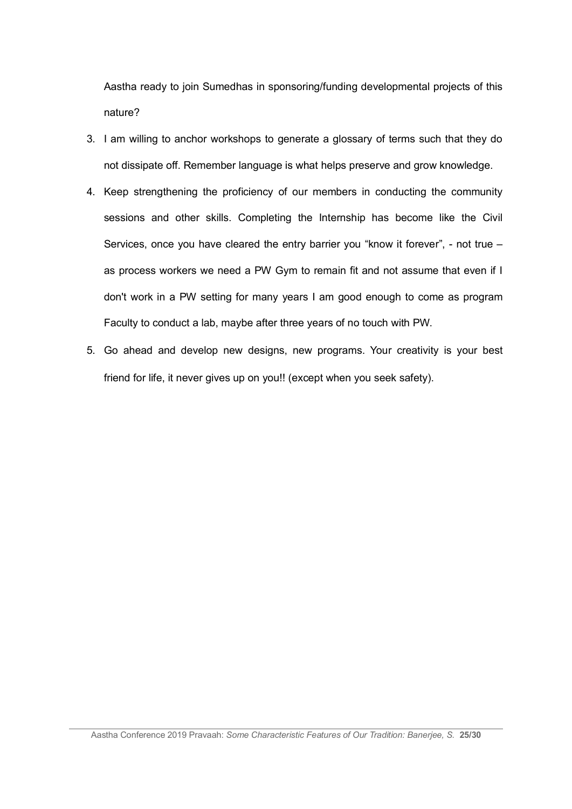Aastha ready to join Sumedhas in sponsoring/funding developmental projects of this nature?

- 3. I am willing to anchor workshops to generate a glossary of terms such that they do not dissipate off. Remember language is what helps preserve and grow knowledge.
- 4. Keep strengthening the proficiency of our members in conducting the community sessions and other skills. Completing the Internship has become like the Civil Services, once you have cleared the entry barrier you "know it forever", - not true – as process workers we need a PW Gym to remain fit and not assume that even if I don't work in a PW setting for many years I am good enough to come as program Faculty to conduct a lab, maybe after three years of no touch with PW.
- 5. Go ahead and develop new designs, new programs. Your creativity is your best friend for life, it never gives up on you!! (except when you seek safety).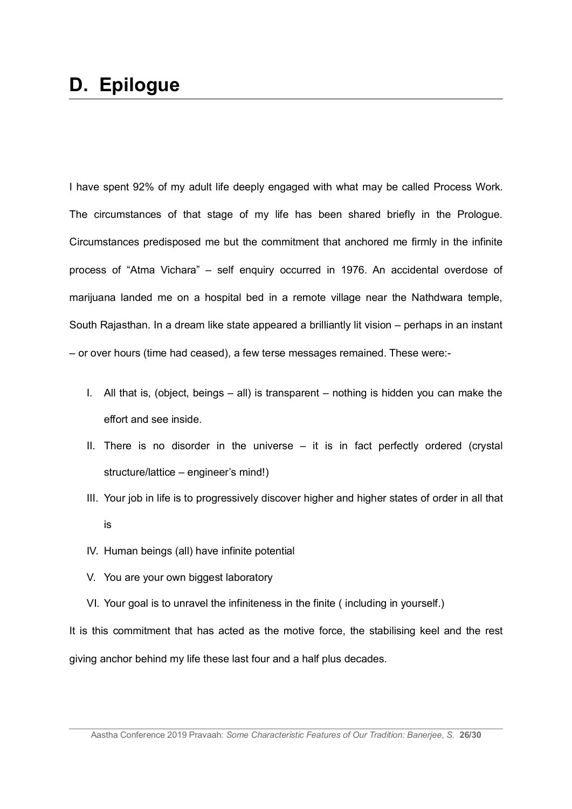I have spent 92% of my adult life deeply engaged with what may be called Process Work. The circumstances of that stage of my life has been shared briefly in the Prologue. Circumstances predisposed me but the commitment that anchored me firmly in the infinite process of "Atma Vichara" – self enquiry occurred in 1976. An accidental overdose of marijuana landed me on a hospital bed in a remote village near the Nathdwara temple, South Rajasthan. In a dream like state appeared a brilliantly lit vision – perhaps in an instant – or over hours (time had ceased), a few terse messages remained. These were:-

- I. All that is, (object, beings all) is transparent nothing is hidden you can make the effort and see inside.
- II. There is no disorder in the universe it is in fact perfectly ordered (crystal structure/lattice – engineer's mind!)
- III. Your job in life is to progressively discover higher and higher states of order in all that is
- IV. Human beings (all) have infinite potential
- V. You are your own biggest laboratory
- VI. Your goal is to unravel the infiniteness in the finite ( including in yourself.)

It is this commitment that has acted as the motive force, the stabilising keel and the rest giving anchor behind my life these last four and a half plus decades.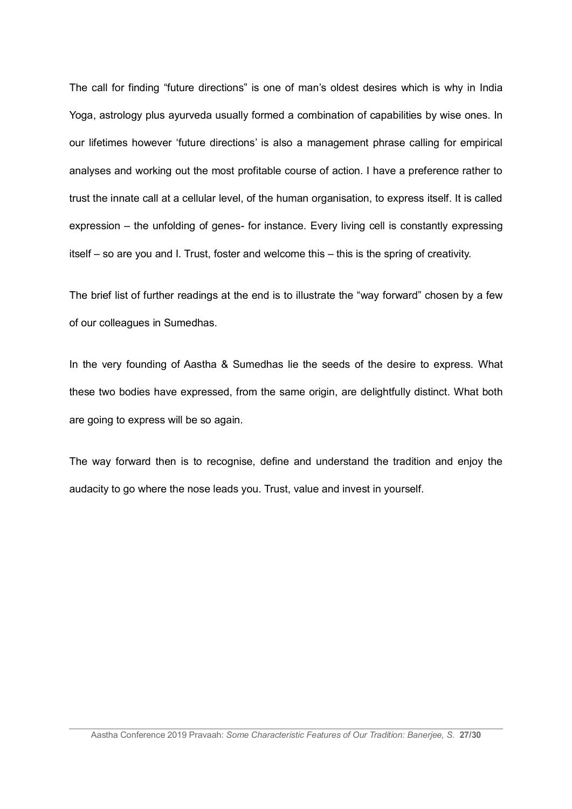The call for finding "future directions" is one of man's oldest desires which is why in India Yoga, astrology plus ayurveda usually formed a combination of capabilities by wise ones. In our lifetimes however 'future directions' is also a management phrase calling for empirical analyses and working out the most profitable course of action. I have a preference rather to trust the innate call at a cellular level, of the human organisation, to express itself. It is called expression – the unfolding of genes- for instance. Every living cell is constantly expressing itself – so are you and I. Trust, foster and welcome this – this is the spring of creativity.

The brief list of further readings at the end is to illustrate the "way forward" chosen by a few of our colleagues in Sumedhas.

In the very founding of Aastha & Sumedhas lie the seeds of the desire to express. What these two bodies have expressed, from the same origin, are delightfully distinct. What both are going to express will be so again.

The way forward then is to recognise, define and understand the tradition and enjoy the audacity to go where the nose leads you. Trust, value and invest in yourself.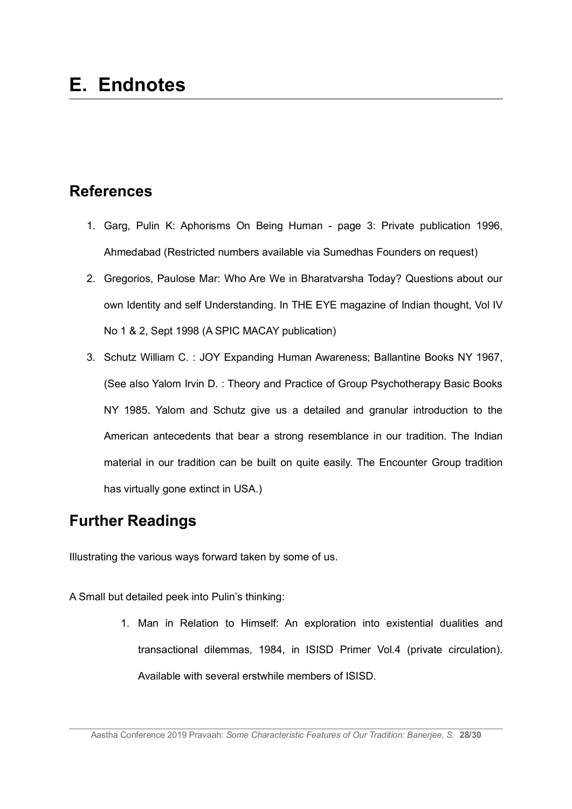# **References**

- 1. Garg, Pulin K: Aphorisms On Being Human page 3: Private publication 1996, Ahmedabad (Restricted numbers available via Sumedhas Founders on request)
- 2. Gregorios, Paulose Mar: Who Are We in Bharatvarsha Today? Questions about our own Identity and self Understanding. In THE EYE magazine of Indian thought, Vol IV No 1 & 2, Sept 1998 (A SPIC MACAY publication)
- 3. Schutz William C. : JOY Expanding Human Awareness; Ballantine Books NY 1967, (See also Yalom Irvin D. : Theory and Practice of Group Psychotherapy Basic Books NY 1985. Yalom and Schutz give us a detailed and granular introduction to the American antecedents that bear a strong resemblance in our tradition. The Indian material in our tradition can be built on quite easily. The Encounter Group tradition has virtually gone extinct in USA.)

# **Further Readings**

Illustrating the various ways forward taken by some of us.

A Small but detailed peek into Pulin's thinking:

1. Man in Relation to Himself: An exploration into existential dualities and transactional dilemmas, 1984, in ISISD Primer Vol.4 (private circulation). Available with several erstwhile members of ISISD.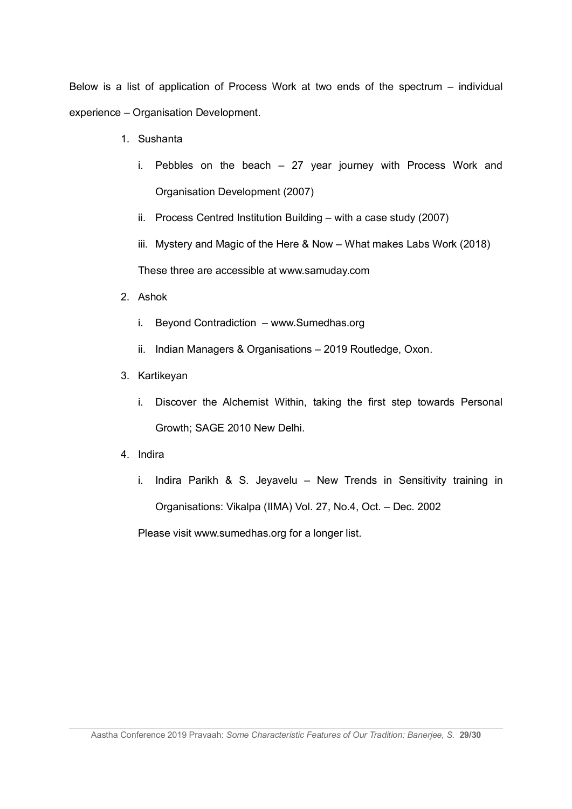Below is a list of application of Process Work at two ends of the spectrum – individual experience – Organisation Development.

- 1. Sushanta
	- i. Pebbles on the beach 27 year journey with Process Work and Organisation Development (2007)
	- ii. Process Centred Institution Building with a case study (2007)
	- iii. Mystery and Magic of the Here & Now What makes Labs Work (2018)

These three are accessible at www.samuday.com

- 2. Ashok
	- i. Beyond Contradiction www.Sumedhas.org
	- ii. Indian Managers & Organisations 2019 Routledge, Oxon.
- 3. Kartikeyan
	- i. Discover the Alchemist Within, taking the first step towards Personal Growth; SAGE 2010 New Delhi.
- 4. Indira
	- i. Indira Parikh & S. Jeyavelu New Trends in Sensitivity training in Organisations: Vikalpa (IIMA) Vol. 27, No.4, Oct. – Dec. 2002

Please visit www.sumedhas.org for a longer list.